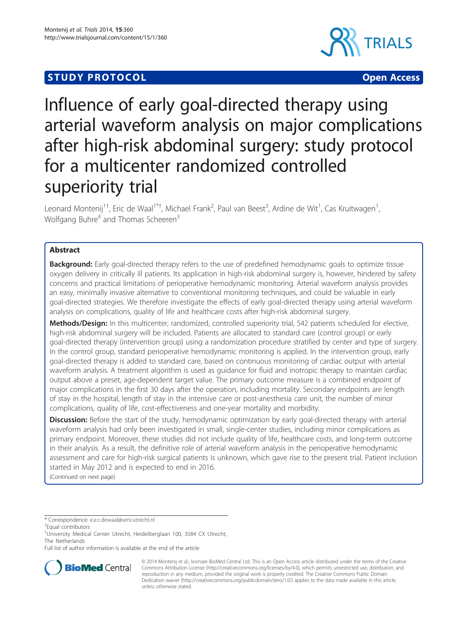# **STUDY PROTOCOL CONSUMING THE CONSUMING OPEN ACCESS**



# Influence of early goal-directed therapy using arterial waveform analysis on major complications after high-risk abdominal surgery: study protocol for a multicenter randomized controlled superiority trial

Leonard Montenij<sup>1†</sup>, Eric de Waal<sup>1\*†</sup>, Michael Frank<sup>2</sup>, Paul van Beest<sup>3</sup>, Ardine de Wit<sup>1</sup>, Cas Kruitwagen<sup>1</sup> , Wolfgang Buhre<sup>4</sup> and Thomas Scheeren<sup>3</sup>

# Abstract

Background: Early goal-directed therapy refers to the use of predefined hemodynamic goals to optimize tissue oxygen delivery in critically ill patients. Its application in high-risk abdominal surgery is, however, hindered by safety concerns and practical limitations of perioperative hemodynamic monitoring. Arterial waveform analysis provides an easy, minimally invasive alternative to conventional monitoring techniques, and could be valuable in early goal-directed strategies. We therefore investigate the effects of early goal-directed therapy using arterial waveform analysis on complications, quality of life and healthcare costs after high-risk abdominal surgery.

Methods/Design: In this multicenter, randomized, controlled superiority trial, 542 patients scheduled for elective, high-risk abdominal surgery will be included. Patients are allocated to standard care (control group) or early goal-directed therapy (intervention group) using a randomization procedure stratified by center and type of surgery. In the control group, standard perioperative hemodynamic monitoring is applied. In the intervention group, early goal-directed therapy is added to standard care, based on continuous monitoring of cardiac output with arterial waveform analysis. A treatment algorithm is used as guidance for fluid and inotropic therapy to maintain cardiac output above a preset, age-dependent target value. The primary outcome measure is a combined endpoint of major complications in the first 30 days after the operation, including mortality. Secondary endpoints are length of stay in the hospital, length of stay in the intensive care or post-anesthesia care unit, the number of minor complications, quality of life, cost-effectiveness and one-year mortality and morbidity.

Discussion: Before the start of the study, hemodynamic optimization by early goal-directed therapy with arterial waveform analysis had only been investigated in small, single-center studies, including minor complications as primary endpoint. Moreover, these studies did not include quality of life, healthcare costs, and long-term outcome in their analysis. As a result, the definitive role of arterial waveform analysis in the perioperative hemodynamic assessment and care for high-risk surgical patients is unknown, which gave rise to the present trial. Patient inclusion started in May 2012 and is expected to end in 2016.

(Continued on next page)

\* Correspondence: [e.e.c.dewaal@umcutrecht.nl](mailto:e.e.c.dewaal@umcutrecht.nl) †

Equal contributors

Full list of author information is available at the end of the article



© 2014 Montenij et al.; licensee BioMed Central Ltd. This is an Open Access article distributed under the terms of the Creative Commons Attribution License [\(http://creativecommons.org/licenses/by/4.0\)](http://creativecommons.org/licenses/by/4.0), which permits unrestricted use, distribution, and reproduction in any medium, provided the original work is properly credited. The Creative Commons Public Domain Dedication waiver [\(http://creativecommons.org/publicdomain/zero/1.0/](http://creativecommons.org/publicdomain/zero/1.0/)) applies to the data made available in this article, unless otherwise stated.

<sup>&</sup>lt;sup>1</sup>University Medical Center Utrecht, Heidelberglaan 100, 3584 CX Utrecht, The Netherlands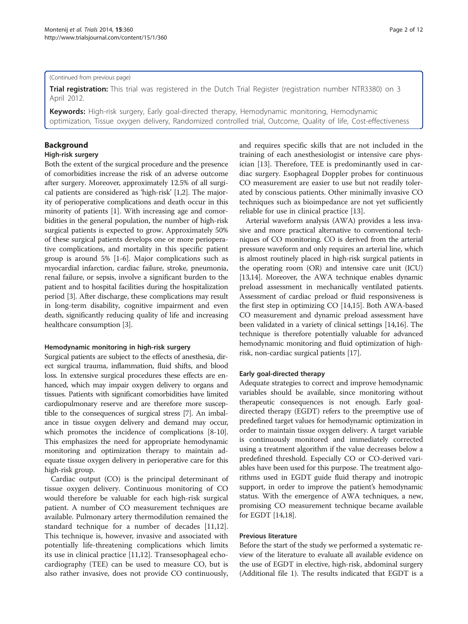#### (Continued from previous page)

Trial registration: This trial was registered in the Dutch Trial Register (registration number [NTR3380\)](http://www.trialregister.nl/trialreg/admin/rctsearch.asp?Term=egdt) on 3 April 2012.

Keywords: High-risk surgery, Early goal-directed therapy, Hemodynamic monitoring, Hemodynamic optimization, Tissue oxygen delivery, Randomized controlled trial, Outcome, Quality of life, Cost-effectiveness

# Background

#### High-risk surgery

Both the extent of the surgical procedure and the presence of comorbidities increase the risk of an adverse outcome after surgery. Moreover, approximately 12.5% of all surgical patients are considered as 'high-risk' [[1,2](#page-10-0)]. The majority of perioperative complications and death occur in this minority of patients [\[1\]](#page-10-0). With increasing age and comorbidities in the general population, the number of high-risk surgical patients is expected to grow. Approximately 50% of these surgical patients develops one or more perioperative complications, and mortality in this specific patient group is around 5% [[1-6\]](#page-10-0). Major complications such as myocardial infarction, cardiac failure, stroke, pneumonia, renal failure, or sepsis, involve a significant burden to the patient and to hospital facilities during the hospitalization period [\[3](#page-10-0)]. After discharge, these complications may result in long-term disability, cognitive impairment and even death, significantly reducing quality of life and increasing healthcare consumption [[3\]](#page-10-0).

#### Hemodynamic monitoring in high-risk surgery

Surgical patients are subject to the effects of anesthesia, direct surgical trauma, inflammation, fluid shifts, and blood loss. In extensive surgical procedures these effects are enhanced, which may impair oxygen delivery to organs and tissues. Patients with significant comorbidities have limited cardiopulmonary reserve and are therefore more susceptible to the consequences of surgical stress [\[7\]](#page-10-0). An imbalance in tissue oxygen delivery and demand may occur, which promotes the incidence of complications [\[8](#page-10-0)-[10](#page-10-0)]. This emphasizes the need for appropriate hemodynamic monitoring and optimization therapy to maintain adequate tissue oxygen delivery in perioperative care for this high-risk group.

Cardiac output (CO) is the principal determinant of tissue oxygen delivery. Continuous monitoring of CO would therefore be valuable for each high-risk surgical patient. A number of CO measurement techniques are available. Pulmonary artery thermodilution remained the standard technique for a number of decades [\[11,12](#page-10-0)]. This technique is, however, invasive and associated with potentially life-threatening complications which limits its use in clinical practice [[11](#page-10-0),[12](#page-10-0)]. Transesophageal echocardiography (TEE) can be used to measure CO, but is also rather invasive, does not provide CO continuously,

and requires specific skills that are not included in the training of each anesthesiologist or intensive care physician [[13\]](#page-10-0). Therefore, TEE is predominantly used in cardiac surgery. Esophageal Doppler probes for continuous CO measurement are easier to use but not readily tolerated by conscious patients. Other minimally invasive CO techniques such as bioimpedance are not yet sufficiently reliable for use in clinical practice [\[13](#page-10-0)].

Arterial waveform analysis (AWA) provides a less invasive and more practical alternative to conventional techniques of CO monitoring. CO is derived from the arterial pressure waveform and only requires an arterial line, which is almost routinely placed in high-risk surgical patients in the operating room (OR) and intensive care unit (ICU) [[13,14\]](#page-10-0). Moreover, the AWA technique enables dynamic preload assessment in mechanically ventilated patients. Assessment of cardiac preload or fluid responsiveness is the first step in optimizing CO [[14,15](#page-10-0)]. Both AWA-based CO measurement and dynamic preload assessment have been validated in a variety of clinical settings [[14,16](#page-10-0)]. The technique is therefore potentially valuable for advanced hemodynamic monitoring and fluid optimization of highrisk, non-cardiac surgical patients [\[17\]](#page-10-0).

#### Early goal-directed therapy

Adequate strategies to correct and improve hemodynamic variables should be available, since monitoring without therapeutic consequences is not enough. Early goaldirected therapy (EGDT) refers to the preemptive use of predefined target values for hemodynamic optimization in order to maintain tissue oxygen delivery. A target variable is continuously monitored and immediately corrected using a treatment algorithm if the value decreases below a predefined threshold. Especially CO or CO-derived variables have been used for this purpose. The treatment algorithms used in EGDT guide fluid therapy and inotropic support, in order to improve the patient's hemodynamic status. With the emergence of AWA techniques, a new, promising CO measurement technique became available for EGDT [[14,18\]](#page-10-0).

#### Previous literature

Before the start of the study we performed a systematic review of the literature to evaluate all available evidence on the use of EGDT in elective, high-risk, abdominal surgery (Additional file [1\)](#page-10-0). The results indicated that EGDT is a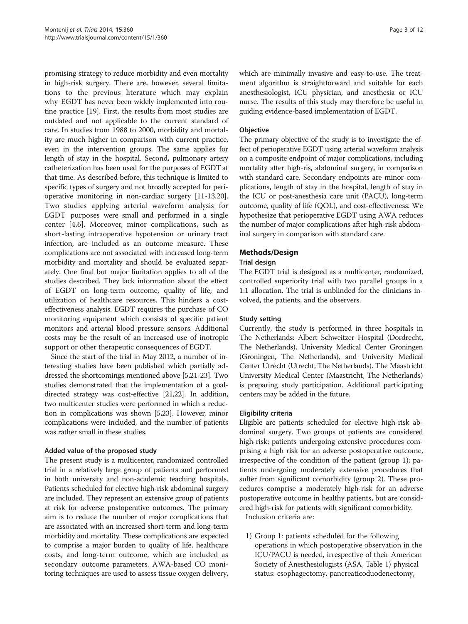promising strategy to reduce morbidity and even mortality in high-risk surgery. There are, however, several limitations to the previous literature which may explain why EGDT has never been widely implemented into routine practice [\[19\]](#page-11-0). First, the results from most studies are outdated and not applicable to the current standard of care. In studies from 1988 to 2000, morbidity and mortality are much higher in comparison with current practice, even in the intervention groups. The same applies for length of stay in the hospital. Second, pulmonary artery catheterization has been used for the purposes of EGDT at that time. As described before, this technique is limited to specific types of surgery and not broadly accepted for perioperative monitoring in non-cardiac surgery [\[11-13,](#page-10-0)[20](#page-11-0)]. Two studies applying arterial waveform analysis for EGDT purposes were small and performed in a single center [\[4,6](#page-10-0)]. Moreover, minor complications, such as short-lasting intraoperative hypotension or urinary tract infection, are included as an outcome measure. These complications are not associated with increased long-term morbidity and mortality and should be evaluated separately. One final but major limitation applies to all of the studies described. They lack information about the effect of EGDT on long-term outcome, quality of life, and utilization of healthcare resources. This hinders a costeffectiveness analysis. EGDT requires the purchase of CO monitoring equipment which consists of specific patient monitors and arterial blood pressure sensors. Additional costs may be the result of an increased use of inotropic support or other therapeutic consequences of EGDT.

Since the start of the trial in May 2012, a number of interesting studies have been published which partially addressed the shortcomings mentioned above [\[5,](#page-10-0)[21-23](#page-11-0)]. Two studies demonstrated that the implementation of a goaldirected strategy was cost-effective [\[21,22](#page-11-0)]. In addition, two multicenter studies were performed in which a reduction in complications was shown [[5](#page-10-0)[,23\]](#page-11-0). However, minor complications were included, and the number of patients was rather small in these studies.

# Added value of the proposed study

The present study is a multicenter, randomized controlled trial in a relatively large group of patients and performed in both university and non-academic teaching hospitals. Patients scheduled for elective high-risk abdominal surgery are included. They represent an extensive group of patients at risk for adverse postoperative outcomes. The primary aim is to reduce the number of major complications that are associated with an increased short-term and long-term morbidity and mortality. These complications are expected to comprise a major burden to quality of life, healthcare costs, and long-term outcome, which are included as secondary outcome parameters. AWA-based CO monitoring techniques are used to assess tissue oxygen delivery,

which are minimally invasive and easy-to-use. The treatment algorithm is straightforward and suitable for each anesthesiologist, ICU physician, and anesthesia or ICU nurse. The results of this study may therefore be useful in guiding evidence-based implementation of EGDT.

#### **Objective**

The primary objective of the study is to investigate the effect of perioperative EGDT using arterial waveform analysis on a composite endpoint of major complications, including mortality after high-ris, abdominal surgery, in comparison with standard care. Secondary endpoints are minor complications, length of stay in the hospital, length of stay in the ICU or post-anesthesia care unit (PACU), long-term outcome, quality of life (QOL), and cost-effectiveness. We hypothesize that perioperative EGDT using AWA reduces the number of major complications after high-risk abdominal surgery in comparison with standard care.

# Methods/Design

#### Trial design

The EGDT trial is designed as a multicenter, randomized, controlled superiority trial with two parallel groups in a 1:1 allocation. The trial is unblinded for the clinicians involved, the patients, and the observers.

# Study setting

Currently, the study is performed in three hospitals in The Netherlands: Albert Schweitzer Hospital (Dordrecht, The Netherlands), University Medical Center Groningen (Groningen, The Netherlands), and University Medical Center Utrecht (Utrecht, The Netherlands). The Maastricht University Medical Center (Maastricht, The Netherlands) is preparing study participation. Additional participating centers may be added in the future.

#### Eligibility criteria

Eligible are patients scheduled for elective high-risk abdominal surgery. Two groups of patients are considered high-risk: patients undergoing extensive procedures comprising a high risk for an adverse postoperative outcome, irrespective of the condition of the patient (group 1); patients undergoing moderately extensive procedures that suffer from significant comorbidity (group 2). These procedures comprise a moderately high-risk for an adverse postoperative outcome in healthy patients, but are considered high-risk for patients with significant comorbidity.

Inclusion criteria are:

1) Group 1: patients scheduled for the following operations in which postoperative observation in the ICU/PACU is needed, irrespective of their American Society of Anesthesiologists (ASA, Table [1\)](#page-3-0) physical status: esophagectomy, pancreaticoduodenectomy,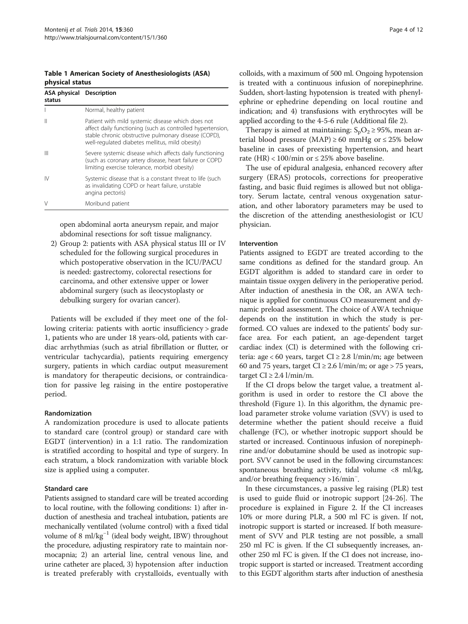<span id="page-3-0"></span>Table 1 American Society of Anesthesiologists (ASA) physical status

| ASA physical Description<br>status |                                                                                                                                                                                                                            |  |  |
|------------------------------------|----------------------------------------------------------------------------------------------------------------------------------------------------------------------------------------------------------------------------|--|--|
|                                    | Normal, healthy patient                                                                                                                                                                                                    |  |  |
|                                    | Patient with mild systemic disease which does not<br>affect daily functioning (such as controlled hypertension,<br>stable chronic obstructive pulmonary disease (COPD),<br>well-regulated diabetes mellitus, mild obesity) |  |  |
| $\mathbb{H}$                       | Severe systemic disease which affects daily functioning<br>(such as coronary artery disease, heart failure or COPD<br>limiting exercise tolerance, morbid obesity)                                                         |  |  |
| IV                                 | Systemic disease that is a constant threat to life (such<br>as invalidating COPD or heart failure, unstable<br>angina pectoris)                                                                                            |  |  |
|                                    | Moribund patient                                                                                                                                                                                                           |  |  |

open abdominal aorta aneurysm repair, and major abdominal resections for soft tissue malignancy.

2) Group 2: patients with ASA physical status III or IV scheduled for the following surgical procedures in which postoperative observation in the ICU/PACU is needed: gastrectomy, colorectal resections for carcinoma, and other extensive upper or lower abdominal surgery (such as ileocystoplasty or debulking surgery for ovarian cancer).

Patients will be excluded if they meet one of the following criteria: patients with aortic insufficiency > grade 1, patients who are under 18 years-old, patients with cardiac arrhythmias (such as atrial fibrillation or flutter, or ventricular tachycardia), patients requiring emergency surgery, patients in which cardiac output measurement is mandatory for therapeutic decisions, or contraindication for passive leg raising in the entire postoperative period.

#### Randomization

A randomization procedure is used to allocate patients to standard care (control group) or standard care with EGDT (intervention) in a 1:1 ratio. The randomization is stratified according to hospital and type of surgery. In each stratum, a block randomization with variable block size is applied using a computer.

# Standard care

Patients assigned to standard care will be treated according to local routine, with the following conditions: 1) after induction of anesthesia and tracheal intubation, patients are mechanically ventilated (volume control) with a fixed tidal volume of 8 ml/kg−<sup>1</sup> (ideal body weight, IBW) throughout the procedure, adjusting respiratory rate to maintain normocapnia; 2) an arterial line, central venous line, and urine catheter are placed, 3) hypotension after induction is treated preferably with crystalloids, eventually with

colloids, with a maximum of 500 ml. Ongoing hypotension is treated with a continuous infusion of norepinephrine. Sudden, short-lasting hypotension is treated with phenylephrine or ephedrine depending on local routine and indication; and 4) transfusions with erythrocytes will be applied according to the 4-5-6 rule (Additional file [2\)](#page-10-0).

Therapy is aimed at maintaining:  $S_pO_2 \geq 95\%$ , mean arterial blood pressure (MAP)  $\geq 60$  mmHg or  $\leq 25\%$  below baseline in cases of preexisting hypertension, and heart rate (HR) <  $100/min$  or  $\leq 25\%$  above baseline.

The use of epidural analgesia, enhanced recovery after surgery (ERAS) protocols, corrections for preoperative fasting, and basic fluid regimes is allowed but not obligatory. Serum lactate, central venous oxygenation saturation, and other laboratory parameters may be used to the discretion of the attending anesthesiologist or ICU physician.

#### Intervention

Patients assigned to EGDT are treated according to the same conditions as defined for the standard group. An EGDT algorithm is added to standard care in order to maintain tissue oxygen delivery in the perioperative period. After induction of anesthesia in the OR, an AWA technique is applied for continuous CO measurement and dynamic preload assessment. The choice of AWA technique depends on the institution in which the study is performed. CO values are indexed to the patients' body surface area. For each patient, an age-dependent target cardiac index (CI) is determined with the following criteria: age < 60 years, target  $CI \geq 2.8$  l/min/m; age between 60 and 75 years, target  $CI \ge 2.6$  l/min/m; or age > 75 years, target  $CI \geq 2.4$  l/min/m.

If the CI drops below the target value, a treatment algorithm is used in order to restore the CI above the threshold (Figure [1\)](#page-4-0). In this algorithm, the dynamic preload parameter stroke volume variation (SVV) is used to determine whether the patient should receive a fluid challenge (FC), or whether inotropic support should be started or increased. Continuous infusion of norepinephrine and/or dobutamine should be used as inotropic support. SVV cannot be used in the following circumstances: spontaneous breathing activity, tidal volume <8 ml/kg, and/or breathing frequency >16/min<sup>−</sup> .

In these circumstances, a passive leg raising (PLR) test is used to guide fluid or inotropic support [\[24-26](#page-11-0)]. The procedure is explained in Figure [2.](#page-4-0) If the CI increases 10% or more during PLR, a 500 ml FC is given. If not, inotropic support is started or increased. If both measurement of SVV and PLR testing are not possible, a small 250 ml FC is given. If the CI subsequently increases, another 250 ml FC is given. If the CI does not increase, inotropic support is started or increased. Treatment according to this EGDT algorithm starts after induction of anesthesia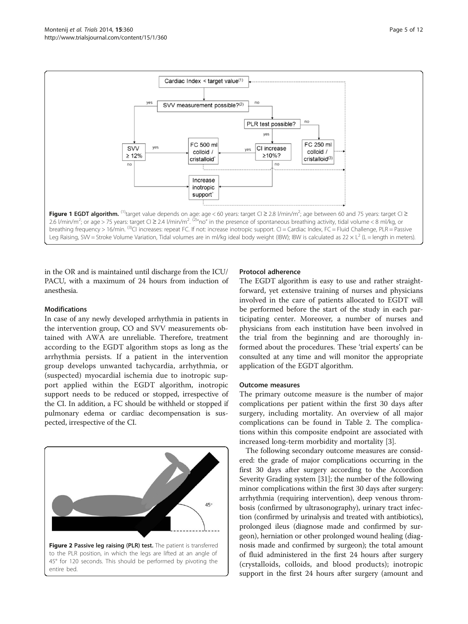<span id="page-4-0"></span>

in the OR and is maintained until discharge from the ICU/ PACU, with a maximum of 24 hours from induction of anesthesia.

#### Modifications

In case of any newly developed arrhythmia in patients in the intervention group, CO and SVV measurements obtained with AWA are unreliable. Therefore, treatment according to the EGDT algorithm stops as long as the arrhythmia persists. If a patient in the intervention group develops unwanted tachycardia, arrhythmia, or (suspected) myocardial ischemia due to inotropic support applied within the EGDT algorithm, inotropic support needs to be reduced or stopped, irrespective of the CI. In addition, a FC should be withheld or stopped if pulmonary edema or cardiac decompensation is suspected, irrespective of the CI.



#### Protocol adherence

The EGDT algorithm is easy to use and rather straightforward, yet extensive training of nurses and physicians involved in the care of patients allocated to EGDT will be performed before the start of the study in each participating center. Moreover, a number of nurses and physicians from each institution have been involved in the trial from the beginning and are thoroughly informed about the procedures. These 'trial experts' can be consulted at any time and will monitor the appropriate application of the EGDT algorithm.

#### Outcome measures

The primary outcome measure is the number of major complications per patient within the first 30 days after surgery, including mortality. An overview of all major complications can be found in Table [2.](#page-5-0) The complications within this composite endpoint are associated with increased long-term morbidity and mortality [[3\]](#page-10-0).

The following secondary outcome measures are considered: the grade of major complications occurring in the first 30 days after surgery according to the Accordion Severity Grading system [[31](#page-11-0)]; the number of the following minor complications within the first 30 days after surgery: arrhythmia (requiring intervention), deep venous thrombosis (confirmed by ultrasonography), urinary tract infection (confirmed by urinalysis and treated with antibiotics), prolonged ileus (diagnose made and confirmed by surgeon), herniation or other prolonged wound healing (diagnosis made and confirmed by surgeon); the total amount of fluid administered in the first 24 hours after surgery (crystalloids, colloids, and blood products); inotropic support in the first 24 hours after surgery (amount and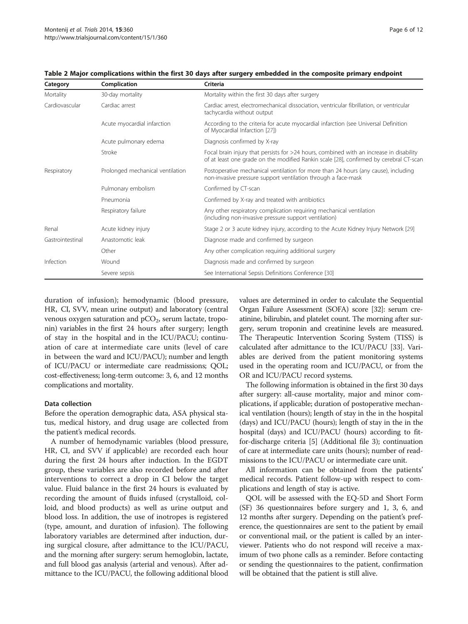| Category         | Complication                     | <b>Criteria</b>                                                                                                                                                                      |  |
|------------------|----------------------------------|--------------------------------------------------------------------------------------------------------------------------------------------------------------------------------------|--|
| Mortality        | 30-day mortality                 | Mortality within the first 30 days after surgery                                                                                                                                     |  |
| Cardiovascular   | Cardiac arrest                   | Cardiac arrest, electromechanical dissociation, ventricular fibrillation, or ventricular<br>tachycardia without output                                                               |  |
|                  | Acute myocardial infarction      | According to the criteria for acute myocardial infarction (see Universal Definition<br>of Myocardial Infarction [27])                                                                |  |
|                  | Acute pulmonary edema            | Diagnosis confirmed by X-ray                                                                                                                                                         |  |
|                  | Stroke                           | Focal brain injury that persists for $>$ 24 hours, combined with an increase in disability<br>of at least one grade on the modified Rankin scale [28], confirmed by cerebral CT-scan |  |
| Respiratory      | Prolonged mechanical ventilation | Postoperative mechanical ventilation for more than 24 hours (any cause), including<br>non-invasive pressure support ventilation through a face-mask                                  |  |
|                  | Pulmonary embolism               | Confirmed by CT-scan                                                                                                                                                                 |  |
|                  | Pneumonia                        | Confirmed by X-ray and treated with antibiotics                                                                                                                                      |  |
|                  | Respiratory failure              | Any other respiratory complication requiring mechanical ventilation<br>(including non-invasive pressure support ventilation)                                                         |  |
| Renal            | Acute kidney injury              | Stage 2 or 3 acute kidney injury, according to the Acute Kidney Injury Network [29]                                                                                                  |  |
| Gastrointestinal | Anastomotic leak                 | Diagnose made and confirmed by surgeon                                                                                                                                               |  |
|                  | Other                            | Any other complication requiring additional surgery                                                                                                                                  |  |
| Infection        | Wound                            | Diagnosis made and confirmed by surgeon                                                                                                                                              |  |
|                  | Severe sepsis                    | See International Sepsis Definitions Conference [30]                                                                                                                                 |  |

<span id="page-5-0"></span>

| Table 2 Major complications within the first 30 days after surgery embedded in the composite primary endpoint |  |  |  |  |
|---------------------------------------------------------------------------------------------------------------|--|--|--|--|
|---------------------------------------------------------------------------------------------------------------|--|--|--|--|

duration of infusion); hemodynamic (blood pressure, HR, CI, SVV, mean urine output) and laboratory (central venous oxygen saturation and  $pCO<sub>2</sub>$ , serum lactate, troponin) variables in the first 24 hours after surgery; length of stay in the hospital and in the ICU/PACU; continuation of care at intermediate care units (level of care in between the ward and ICU/PACU); number and length of ICU/PACU or intermediate care readmissions; QOL; cost-effectiveness; long-term outcome: 3, 6, and 12 months complications and mortality.

#### Data collection

Before the operation demographic data, ASA physical status, medical history, and drug usage are collected from the patient's medical records.

A number of hemodynamic variables (blood pressure, HR, CI, and SVV if applicable) are recorded each hour during the first 24 hours after induction. In the EGDT group, these variables are also recorded before and after interventions to correct a drop in CI below the target value. Fluid balance in the first 24 hours is evaluated by recording the amount of fluids infused (crystalloid, colloid, and blood products) as well as urine output and blood loss. In addition, the use of inotropes is registered (type, amount, and duration of infusion). The following laboratory variables are determined after induction, during surgical closure, after admittance to the ICU/PACU, and the morning after surgery: serum hemoglobin, lactate, and full blood gas analysis (arterial and venous). After admittance to the ICU/PACU, the following additional blood values are determined in order to calculate the Sequential Organ Failure Assessment (SOFA) score [[32](#page-11-0)]: serum creatinine, bilirubin, and platelet count. The morning after surgery, serum troponin and creatinine levels are measured. The Therapeutic Intervention Scoring System (TISS) is calculated after admittance to the ICU/PACU [\[33\]](#page-11-0). Variables are derived from the patient monitoring systems used in the operating room and ICU/PACU, or from the OR and ICU/PACU record systems.

The following information is obtained in the first 30 days after surgery: all-cause mortality, major and minor complications, if applicable; duration of postoperative mechanical ventilation (hours); length of stay in the in the hospital (days) and ICU/PACU (hours); length of stay in the in the hospital (days) and ICU/PACU (hours) according to fitfor-discharge criteria [\[5](#page-10-0)] (Additional file [3](#page-10-0)); continuation of care at intermediate care units (hours); number of readmissions to the ICU/PACU or intermediate care unit.

All information can be obtained from the patients' medical records. Patient follow-up with respect to complications and length of stay is active.

QOL will be assessed with the EQ-5D and Short Form (SF) 36 questionnaires before surgery and 1, 3, 6, and 12 months after surgery. Depending on the patient's preference, the questionnaires are sent to the patient by email or conventional mail, or the patient is called by an interviewer. Patients who do not respond will receive a maximum of two phone calls as a reminder. Before contacting or sending the questionnaires to the patient, confirmation will be obtained that the patient is still alive.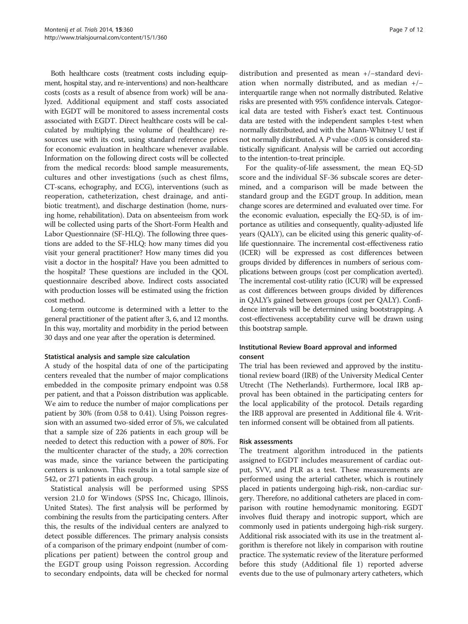Both healthcare costs (treatment costs including equipment, hospital stay, and re-interventions) and non-healthcare costs (costs as a result of absence from work) will be analyzed. Additional equipment and staff costs associated with EGDT will be monitored to assess incremental costs associated with EGDT. Direct healthcare costs will be calculated by multiplying the volume of (healthcare) resources use with its cost, using standard reference prices for economic evaluation in healthcare whenever available. Information on the following direct costs will be collected from the medical records: blood sample measurements, cultures and other investigations (such as chest films, CT-scans, echography, and ECG), interventions (such as reoperation, catheterization, chest drainage, and antibiotic treatment), and discharge destination (home, nursing home, rehabilitation). Data on absenteeism from work will be collected using parts of the Short-Form Health and Labor Questionnaire (SF-HLQ). The following three questions are added to the SF-HLQ: how many times did you visit your general practitioner? How many times did you visit a doctor in the hospital? Have you been admitted to the hospital? These questions are included in the QOL questionnaire described above. Indirect costs associated with production losses will be estimated using the friction cost method.

Long-term outcome is determined with a letter to the general practitioner of the patient after 3, 6, and 12 months. In this way, mortality and morbidity in the period between 30 days and one year after the operation is determined.

# Statistical analysis and sample size calculation

A study of the hospital data of one of the participating centers revealed that the number of major complications embedded in the composite primary endpoint was 0.58 per patient, and that a Poisson distribution was applicable. We aim to reduce the number of major complications per patient by 30% (from 0.58 to 0.41). Using Poisson regression with an assumed two-sided error of 5%, we calculated that a sample size of 226 patients in each group will be needed to detect this reduction with a power of 80%. For the multicenter character of the study, a 20% correction was made, since the variance between the participating centers is unknown. This results in a total sample size of 542, or 271 patients in each group.

Statistical analysis will be performed using SPSS version 21.0 for Windows (SPSS Inc, Chicago, Illinois, United States). The first analysis will be performed by combining the results from the participating centers. After this, the results of the individual centers are analyzed to detect possible differences. The primary analysis consists of a comparison of the primary endpoint (number of complications per patient) between the control group and the EGDT group using Poisson regression. According to secondary endpoints, data will be checked for normal

distribution and presented as mean +/−standard deviation when normally distributed, and as median +/− interquartile range when not normally distributed. Relative risks are presented with 95% confidence intervals. Categorical data are tested with Fisher's exact test. Continuous data are tested with the independent samples t-test when normally distributed, and with the Mann-Whitney U test if not normally distributed. A  $P$  value <0.05 is considered statistically significant. Analysis will be carried out according to the intention-to-treat principle.

For the quality-of-life assessment, the mean EQ-5D score and the individual SF-36 subscale scores are determined, and a comparison will be made between the standard group and the EGDT group. In addition, mean change scores are determined and evaluated over time. For the economic evaluation, especially the EQ-5D, is of importance as utilities and consequently, quality-adjusted life years (QALY), can be elicited using this generic quality-oflife questionnaire. The incremental cost-effectiveness ratio (ICER) will be expressed as cost differences between groups divided by differences in numbers of serious complications between groups (cost per complication averted). The incremental cost-utility ratio (ICUR) will be expressed as cost differences between groups divided by differences in QALY's gained between groups (cost per QALY). Confidence intervals will be determined using bootstrapping. A cost-effectiveness acceptability curve will be drawn using this bootstrap sample.

# Institutional Review Board approval and informed consent

The trial has been reviewed and approved by the institutional review board (IRB) of the University Medical Center Utrecht (The Netherlands). Furthermore, local IRB approval has been obtained in the participating centers for the local applicability of the protocol. Details regarding the IRB approval are presented in Additional file [4.](#page-10-0) Written informed consent will be obtained from all patients.

# Risk assessments

The treatment algorithm introduced in the patients assigned to EGDT includes measurement of cardiac output, SVV, and PLR as a test. These measurements are performed using the arterial catheter, which is routinely placed in patients undergoing high-risk, non-cardiac surgery. Therefore, no additional catheters are placed in comparison with routine hemodynamic monitoring. EGDT involves fluid therapy and inotropic support, which are commonly used in patients undergoing high-risk surgery. Additional risk associated with its use in the treatment algorithm is therefore not likely in comparison with routine practice. The systematic review of the literature performed before this study (Additional file [1](#page-10-0)) reported adverse events due to the use of pulmonary artery catheters, which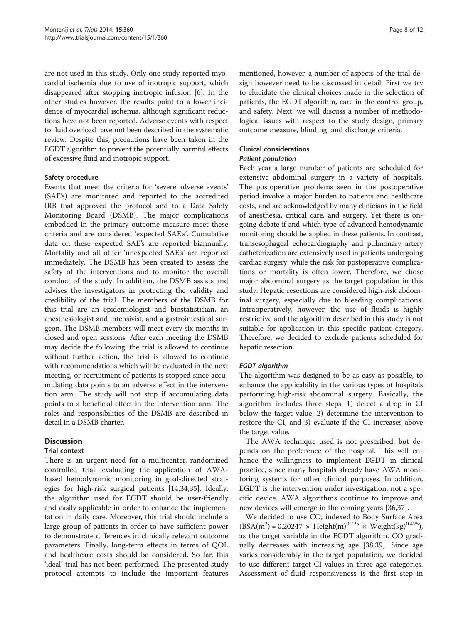are not used in this study. Only one study reported myocardial ischemia due to use of inotropic support, which disappeared after stopping inotropic infusion [[6](#page-10-0)]. In the other studies however, the results point to a lower incidence of myocardial ischemia, although significant reductions have not been reported. Adverse events with respect to fluid overload have not been described in the systematic review. Despite this, precautions have been taken in the EGDT algorithm to prevent the potentially harmful effects of excessive fluid and inotropic support.

#### Safety procedure

Events that meet the criteria for 'severe adverse events' (SAE's) are monitored and reported to the accredited IRB that approved the protocol and to a Data Safety Monitoring Board (DSMB). The major complications embedded in the primary outcome measure meet these criteria and are considered 'expected SAE's'. Cumulative data on these expected SAE's are reported biannually. Mortality and all other 'unexpected SAE's' are reported immediately. The DSMB has been created to assess the safety of the interventions and to monitor the overall conduct of the study. In addition, the DSMB assists and advises the investigators in protecting the validity and credibility of the trial. The members of the DSMB for this trial are an epidemiologist and biostatistician, an anesthesiologist and intensivist, and a gastrointestinal surgeon. The DSMB members will meet every six months in closed and open sessions. After each meeting the DSMB may decide the following: the trial is allowed to continue without further action, the trial is allowed to continue with recommendations which will be evaluated in the next meeting, or recruitment of patients is stopped since accumulating data points to an adverse effect in the intervention arm. The study will not stop if accumulating data points to a beneficial effect in the intervention arm. The roles and responsibilities of the DSMB are described in detail in a DSMB charter.

# **Discussion**

#### Trial context

There is an urgent need for a multicenter, randomized controlled trial, evaluating the application of AWAbased hemodynamic monitoring in goal-directed strategies for high-risk surgical patients [\[14](#page-10-0)[,34,35](#page-11-0)]. Ideally, the algorithm used for EGDT should be user-friendly and easily applicable in order to enhance the implementation in daily care. Moreover, this trial should include a large group of patients in order to have sufficient power to demonstrate differences in clinically relevant outcome parameters. Finally, long-term effects in terms of QOL and healthcare costs should be considered. So far, this 'ideal' trial has not been performed. The presented study protocol attempts to include the important features

mentioned, however, a number of aspects of the trial design however need to be discussed in detail. First we try to elucidate the clinical choices made in the selection of patients, the EGDT algorithm, care in the control group, and safety. Next, we will discuss a number of methodological issues with respect to the study design, primary outcome measure, blinding, and discharge criteria.

#### Clinical considerations

#### Patient population

Each year a large number of patients are scheduled for extensive abdominal surgery in a variety of hospitals. The postoperative problems seen in the postoperative period involve a major burden to patients and healthcare costs, and are acknowledged by many clinicians in the field of anesthesia, critical care, and surgery. Yet there is ongoing debate if and which type of advanced hemodynamic monitoring should be applied in these patients. In contrast, transesophageal echocardiography and pulmonary artery catheterization are extensively used in patients undergoing cardiac surgery, while the risk for postoperative complications or mortality is often lower. Therefore, we chose major abdominal surgery as the target population in this study. Hepatic resections are considered high-risk abdominal surgery, especially due to bleeding complications. Intraoperatively, however, the use of fluids is highly restrictive and the algorithm described in this study is not suitable for application in this specific patient category. Therefore, we decided to exclude patients scheduled for hepatic resection.

# EGDT algorithm

The algorithm was designed to be as easy as possible, to enhance the applicability in the various types of hospitals performing high-risk abdominal surgery. Basically, the algorithm includes three steps: 1) detect a drop in CI below the target value, 2) determine the intervention to restore the CI, and 3) evaluate if the CI increases above the target value.

The AWA technique used is not prescribed, but depends on the preference of the hospital. This will enhance the willingness to implement EGDT in clinical practice, since many hospitals already have AWA monitoring systems for other clinical purposes. In addition, EGDT is the intervention under investigation, not a specific device. AWA algorithms continue to improve and new devices will emerge in the coming years [[36](#page-11-0),[37\]](#page-11-0).

We decided to use CO, indexed to Body Surface Area  $(BSA(m^2) = 0.20247 \times Height(m)^{0.725} \times Weight(kg)^{0.425})$ as the target variable in the EGDT algorithm. CO gradually decreases with increasing age [\[38,39](#page-11-0)]. Since age varies considerably in the target population, we decided to use different target CI values in three age categories. Assessment of fluid responsiveness is the first step in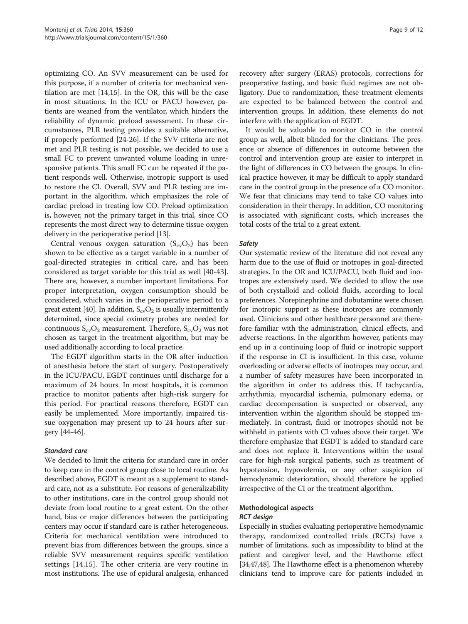optimizing CO. An SVV measurement can be used for this purpose, if a number of criteria for mechanical ventilation are met [[14,15\]](#page-10-0). In the OR, this will be the case in most situations. In the ICU or PACU however, patients are weaned from the ventilator, which hinders the reliability of dynamic preload assessment. In these circumstances, PLR testing provides a suitable alternative, if properly performed [\[24-26\]](#page-11-0). If the SVV criteria are not met and PLR testing is not possible, we decided to use a small FC to prevent unwanted volume loading in unresponsive patients. This small FC can be repeated if the patient responds well. Otherwise, inotropic support is used to restore the CI. Overall, SVV and PLR testing are important in the algorithm, which emphasizes the role of cardiac preload in treating low CO. Preload optimization is, however, not the primary target in this trial, since CO represents the most direct way to determine tissue oxygen delivery in the perioperative period [\[13\]](#page-10-0).

Central venous oxygen saturation  $(S_{cv}O_2)$  has been shown to be effective as a target variable in a number of goal-directed strategies in critical care, and has been considered as target variable for this trial as well [\[40-43](#page-11-0)]. There are, however, a number important limitations. For proper interpretation, oxygen consumption should be considered, which varies in the perioperative period to a great extent [[40](#page-11-0)]. In addition,  $S_{cv}O_2$  is usually intermittently determined, since special oximetry probes are needed for continuous  $S_{cv}O_2$  measurement. Therefore,  $S_{cv}O_2$  was not chosen as target in the treatment algorithm, but may be used additionally according to local practice.

The EGDT algorithm starts in the OR after induction of anesthesia before the start of surgery. Postoperatively in the ICU/PACU, EGDT continues until discharge for a maximum of 24 hours. In most hospitals, it is common practice to monitor patients after high-risk surgery for this period. For practical reasons therefore, EGDT can easily be implemented. More importantly, impaired tissue oxygenation may present up to 24 hours after surgery [[44-46](#page-11-0)].

#### Standard care

We decided to limit the criteria for standard care in order to keep care in the control group close to local routine. As described above, EGDT is meant as a supplement to standard care, not as a substitute. For reasons of generalizability to other institutions, care in the control group should not deviate from local routine to a great extent. On the other hand, bias or major differences between the participating centers may occur if standard care is rather heterogeneous. Criteria for mechanical ventilation were introduced to prevent bias from differences between the groups, since a reliable SVV measurement requires specific ventilation settings [[14,15](#page-10-0)]. The other criteria are very routine in most institutions. The use of epidural analgesia, enhanced

recovery after surgery (ERAS) protocols, corrections for preoperative fasting, and basic fluid regimes are not obligatory. Due to randomization, these treatment elements are expected to be balanced between the control and intervention groups. In addition, these elements do not interfere with the application of EGDT.

It would be valuable to monitor CO in the control group as well, albeit blinded for the clinicians. The presence or absence of differences in outcome between the control and intervention group are easier to interpret in the light of differences in CO between the groups. In clinical practice however, it may be difficult to apply standard care in the control group in the presence of a CO monitor. We fear that clinicians may tend to take CO values into consideration in their therapy. In addition, CO monitoring is associated with significant costs, which increases the total costs of the trial to a great extent.

#### Safety

Our systematic review of the literature did not reveal any harm due to the use of fluid or inotropes in goal-directed strategies. In the OR and ICU/PACU, both fluid and inotropes are extensively used. We decided to allow the use of both crystalloid and colloid fluids, according to local preferences. Norepinephrine and dobutamine were chosen for inotropic support as these inotropes are commonly used. Clinicians and other healthcare personnel are therefore familiar with the administration, clinical effects, and adverse reactions. In the algorithm however, patients may end up in a continuing loop of fluid or inotropic support if the response in CI is insufficient. In this case, volume overloading or adverse effects of inotropes may occur, and a number of safety measures have been incorporated in the algorithm in order to address this. If tachycardia, arrhythmia, myocardial ischemia, pulmonary edema, or cardiac decompensation is suspected or observed, any intervention within the algorithm should be stopped immediately. In contrast, fluid or inotropes should not be withheld in patients with CI values above their target. We therefore emphasize that EGDT is added to standard care and does not replace it. Interventions within the usual care for high-risk surgical patients, such as treatment of hypotension, hypovolemia, or any other suspicion of hemodynamic deterioration, should therefore be applied irrespective of the CI or the treatment algorithm.

# Methodological aspects

# RCT design

Especially in studies evaluating perioperative hemodynamic therapy, randomized controlled trials (RCTs) have a number of limitations, such as impossibility to blind at the patient and caregiver level, and the Hawthorne effect [[34,47,48](#page-11-0)]. The Hawthorne effect is a phenomenon whereby clinicians tend to improve care for patients included in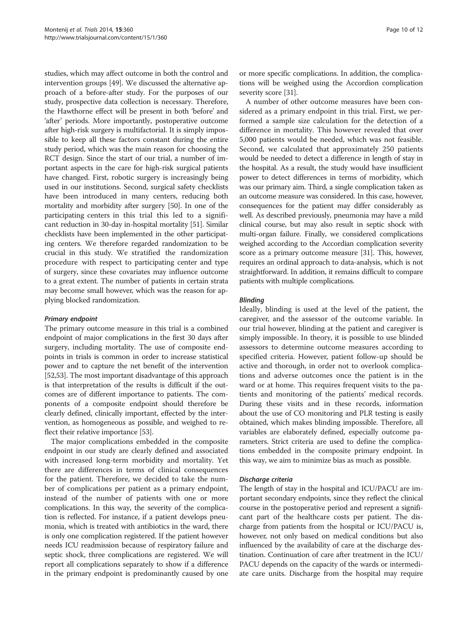studies, which may affect outcome in both the control and intervention groups [\[49\]](#page-11-0). We discussed the alternative approach of a before-after study. For the purposes of our study, prospective data collection is necessary. Therefore, the Hawthorne effect will be present in both 'before' and 'after' periods. More importantly, postoperative outcome after high-risk surgery is multifactorial. It is simply impossible to keep all these factors constant during the entire study period, which was the main reason for choosing the RCT design. Since the start of our trial, a number of important aspects in the care for high-risk surgical patients have changed. First, robotic surgery is increasingly being used in our institutions. Second, surgical safety checklists have been introduced in many centers, reducing both mortality and morbidity after surgery [[50](#page-11-0)]. In one of the participating centers in this trial this led to a significant reduction in 30-day in-hospital mortality [\[51\]](#page-11-0). Similar checklists have been implemented in the other participating centers. We therefore regarded randomization to be crucial in this study. We stratified the randomization procedure with respect to participating center and type of surgery, since these covariates may influence outcome to a great extent. The number of patients in certain strata may become small however, which was the reason for applying blocked randomization.

# Primary endpoint

The primary outcome measure in this trial is a combined endpoint of major complications in the first 30 days after surgery, including mortality. The use of composite endpoints in trials is common in order to increase statistical power and to capture the net benefit of the intervention [[52,53](#page-11-0)]. The most important disadvantage of this approach is that interpretation of the results is difficult if the outcomes are of different importance to patients. The components of a composite endpoint should therefore be clearly defined, clinically important, effected by the intervention, as homogeneous as possible, and weighed to reflect their relative importance [[53](#page-11-0)].

The major complications embedded in the composite endpoint in our study are clearly defined and associated with increased long-term morbidity and mortality. Yet there are differences in terms of clinical consequences for the patient. Therefore, we decided to take the number of complications per patient as a primary endpoint, instead of the number of patients with one or more complications. In this way, the severity of the complication is reflected. For instance, if a patient develops pneumonia, which is treated with antibiotics in the ward, there is only one complication registered. If the patient however needs ICU readmission because of respiratory failure and septic shock, three complications are registered. We will report all complications separately to show if a difference in the primary endpoint is predominantly caused by one

or more specific complications. In addition, the complications will be weighed using the Accordion complication severity score [\[31\]](#page-11-0).

A number of other outcome measures have been considered as a primary endpoint in this trial. First, we performed a sample size calculation for the detection of a difference in mortality. This however revealed that over 5,000 patients would be needed, which was not feasible. Second, we calculated that approximately 250 patients would be needed to detect a difference in length of stay in the hospital. As a result, the study would have insufficient power to detect differences in terms of morbidity, which was our primary aim. Third, a single complication taken as an outcome measure was considered. In this case, however, consequences for the patient may differ considerably as well. As described previously, pneumonia may have a mild clinical course, but may also result in septic shock with multi-organ failure. Finally, we considered complications weighed according to the Accordian complication severity score as a primary outcome measure [\[31\]](#page-11-0). This, however, requires an ordinal approach to data-analysis, which is not straightforward. In addition, it remains difficult to compare patients with multiple complications.

# Blinding

Ideally, blinding is used at the level of the patient, the caregiver, and the assessor of the outcome variable. In our trial however, blinding at the patient and caregiver is simply impossible. In theory, it is possible to use blinded assessors to determine outcome measures according to specified criteria. However, patient follow-up should be active and thorough, in order not to overlook complications and adverse outcomes once the patient is in the ward or at home. This requires frequent visits to the patients and monitoring of the patients' medical records. During these visits and in these records, information about the use of CO monitoring and PLR testing is easily obtained, which makes blinding impossible. Therefore, all variables are elaborately defined, especially outcome parameters. Strict criteria are used to define the complications embedded in the composite primary endpoint. In this way, we aim to minimize bias as much as possible.

# Discharge criteria

The length of stay in the hospital and ICU/PACU are important secondary endpoints, since they reflect the clinical course in the postoperative period and represent a significant part of the healthcare costs per patient. The discharge from patients from the hospital or ICU/PACU is, however, not only based on medical conditions but also influenced by the availability of care at the discharge destination. Continuation of care after treatment in the ICU/ PACU depends on the capacity of the wards or intermediate care units. Discharge from the hospital may require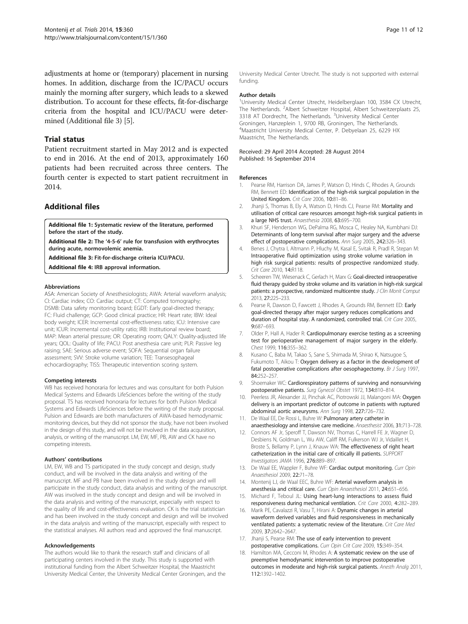<span id="page-10-0"></span>adjustments at home or (temporary) placement in nursing homes. In addition, discharge from the IC/PACU occurs mainly the morning after surgery, which leads to a skewed distribution. To account for these effects, fit-for-discharge criteria from the hospital and ICU/PACU were determined (Additional file 3) [5].

#### Trial status

Patient recruitment started in May 2012 and is expected to end in 2016. At the end of 2013, approximately 160 patients had been recruited across three centers. The fourth center is expected to start patient recruitment in 2014.

# Additional files

[Additional file 1:](http://www.biomedcentral.com/content/supplementary/1745-6215-15-360-S1.docx) Systematic review of the literature, performed before the start of the study.

[Additional file 2:](http://www.biomedcentral.com/content/supplementary/1745-6215-15-360-S2.docx) The '4-5-6' rule for transfusion with erythrocytes during acute, normovolemic anemia.

[Additional file 3:](http://www.biomedcentral.com/content/supplementary/1745-6215-15-360-S3.docx) Fit-for-discharge criteria ICU/PACU.

[Additional file 4:](http://www.biomedcentral.com/content/supplementary/1745-6215-15-360-S4.docx) IRB approval information.

#### Abbreviations

ASA: American Society of Anesthesiologists; AWA: Arterial waveform analysis; CI: Cardiac index; CO: Cardiac output; CT: Computed tomography; DSMB: Data safety monitoring board; EGDT: Early goal-directed therapy; FC: Fluid challenge; GCP: Good clinical practice; HR: Heart rate; IBW: Ideal body weight; ICER: Incremental cost-effectiveness ratio; ICU: Intensive care unit; ICUR: Incremental cost-utility ratio; IRB: Institutional review board; MAP: Mean arterial pressure; OR: Operating room; QALY: Quality-adjusted life years; QOL: Quality of life; PACU: Post anesthesia care unit; PLR: Passive leg raising; SAE: Serious adverse event; SOFA: Sequential organ failure assessment; SVV: Stroke volume variation; TEE: Transesophageal echocardiography; TISS: Therapeutic intervention scoring system.

#### Competing interests

WB has received honoraria for lectures and was consultant for both Pulsion Medical Systems and Edwards LifeSciences before the writing of the study proposal. TS has received honoraria for lectures for both Pulsion Medical Systems and Edwards LifeSciences before the writing of the study proposal. Pulsion and Edwards are both manufacturers of AWA-based hemodynamic monitoring devices, but they did not sponsor the study, have not been involved in the design of this study, and will not be involved in the data acquisition, analysis, or writing of the manuscript. LM, EW, MF, PB, AW and CK have no competing interests.

#### Authors' contributions

LM, EW, WB and TS participated in the study concept and design, study conduct, and will be involved in the data analysis and writing of the manuscript. MF and PB have been involved in the study design and will participate in the study conduct, data analysis and writing of the manuscript. AW was involved in the study concept and design and will be involved in the data analysis and writing of the manuscript, especially with respect to the quality of life and cost-effectiveness evaluation. CK is the trial statistician and has been involved in the study concept and design and will be involved in the data analysis and writing of the manuscript, especially with respect to the statistical analyses. All authors read and approved the final manuscript.

#### Acknowledgements

The authors would like to thank the research staff and clinicians of all participating centers involved in the study. This study is supported with institutional funding from the Albert Schweitzer Hospital, the Maastricht University Medical Center, the University Medical Center Groningen, and the

University Medical Center Utrecht. The study is not supported with external funding.

#### Author details

<sup>1</sup>University Medical Center Utrecht, Heidelberglaan 100, 3584 CX Utrecht, The Netherlands. <sup>2</sup> Albert Schweitzer Hospital, Albert Schweitzerplaats 25 3318 AT Dordrecht, The Netherlands. <sup>3</sup>University Medical Center Groningen, Hanzeplein 1, 9700 RB, Groningen, The Netherlands. 4 Maastricht University Medical Center, P. Debyelaan 25, 6229 HX Maastricht, The Netherlands.

#### Received: 29 April 2014 Accepted: 28 August 2014 Published: 16 September 2014

#### References

- 1. Pearse RM, Harrison DA, James P, Watson D, Hinds C, Rhodes A, Grounds RM, Bennett ED: Identification of the high-risk surgical population in the United Kingdom. Crit Care 2006, 10:81–86.
- 2. Jhanji S, Thomas B, Ely A, Watson D, Hinds CJ, Pearse RM: Mortality and utilisation of critical care resources amongst high-risk surgical patients in a large NHS trust. Anaesthesia 2008, 63:695–700.
- 3. Khuri SF, Henderson WG, DePalma RG, Mosca C, Healey NA, Kumbhani DJ: Determinants of long-term survival after major surgery and the adverse effect of postoperative complications. Ann Surg 2005, 242:326–343.
- 4. Benes J, Chytra I, Altmann P, Hluchy M, Kasal E, Svitak R, Pradl R, Stepan M: Intraoperative fluid optimization using stroke volume variation in high risk surgical patients: results of prospective randomized study. Crit Care 2010, 14:R118.
- 5. Scheeren TW, Wiesenack C, Gerlach H, Marx G: Goal-directed intraoperative fluid therapy guided by stroke volume and its variation in high-risk surgical patients: a prospective, randomized multicentre study. J Clin Monit Comput 2013, 27:225–233.
- 6. Pearse R, Dawson D, Fawcett J, Rhodes A, Grounds RM, Bennett ED: Early goal-directed therapy after major surgery reduces complications and duration of hospital stay. A randomized, controlled trial. Crit Care 2005, 9:687–693.
- 7. Older P, Hall A, Hader R: Cardiopulmonary exercise testing as a screening test for perioperative management of major surgery in the elderly. Chest 1999, 116:355–362.
- Kusano C, Baba M, Takao S, Sane S, Shimada M, Shirao K, Natsugoe S, Fukumoto T, Aikou T: Oxygen delivery as a factor in the development of fatal postoperative complications after oesophagectomy. Br J Surg 1997, 84:252–257.
- 9. Shoemaker WC: Cardiorespiratory patterns of surviving and nonsurviving postoperative patients. Surg Gynecol Obstet 1972, 134:810–814.
- 10. Peerless JR, Alexander JJ, Pinchak AC, Piotrowski JJ, Malangoni MA: Oxygen delivery is an important predictor of outcome in patients with ruptured abdominal aortic aneurysms. Ann Surg 1998, 227:726–732.
- 11. De Waal EE, De Rossi L, Buhre W: Pulmonary artery catheter in anaesthesiology and intensive care medicine. Anaesthesist 2006, 31:713–728.
- 12. Connors AF Jr, Speroff T, Dawson NV, Thomas C, Harrell FE Jr, Wagner D, Desbiens N, Goldman L, Wu AW, Califf RM, Fulkerson WJ Jr, Vidaillet H, Broste S, Bellamy P, Lynn J, Knauw WA: The effectiveness of right heart catheterization in the initial care of critically ill patients. SUPPORT Investigators JAMA 1996, 276:889–897.
- 13. De Waal EE, Wappler F, Buhre WF: Cardiac output monitoring. Curr Opin Anaesthesiol 2009, 22:71–78.
- 14. Montenij LJ, de Waal EEC, Buhre WF: Arterial waveform analysis in anesthesia and critical care. Curr Opin Anaesthesiol 2011, 24:651–656.
- 15. Michard F, Teboul JL: Using heart-lung interactions to assess fluid responsiveness during mechanical ventilation. Crit Care 2000, 4:282–289.
- 16. Marik PE, Cavalazzi R, Vasu T, Hirani A: Dynamic changes in arterial waveform derived variables and fluid responsiveness in mechanically ventilated patients: a systematic review of the literature. Crit Care Med 2009, 37:2642–2647.
- 17. Jhanji S, Pearse RM: The use of early intervention to prevent postoperative complications. Curr Opin Crit Care 2009, 15:349–354.
- 18. Hamilton MA, Cecconi M, Rhodes A: A systematic review on the use of preemptive hemodynamic intervention to improve postoperative outcomes in moderate and high-risk surgical patients. Anesth Analg 2011, 112:1392–1402.